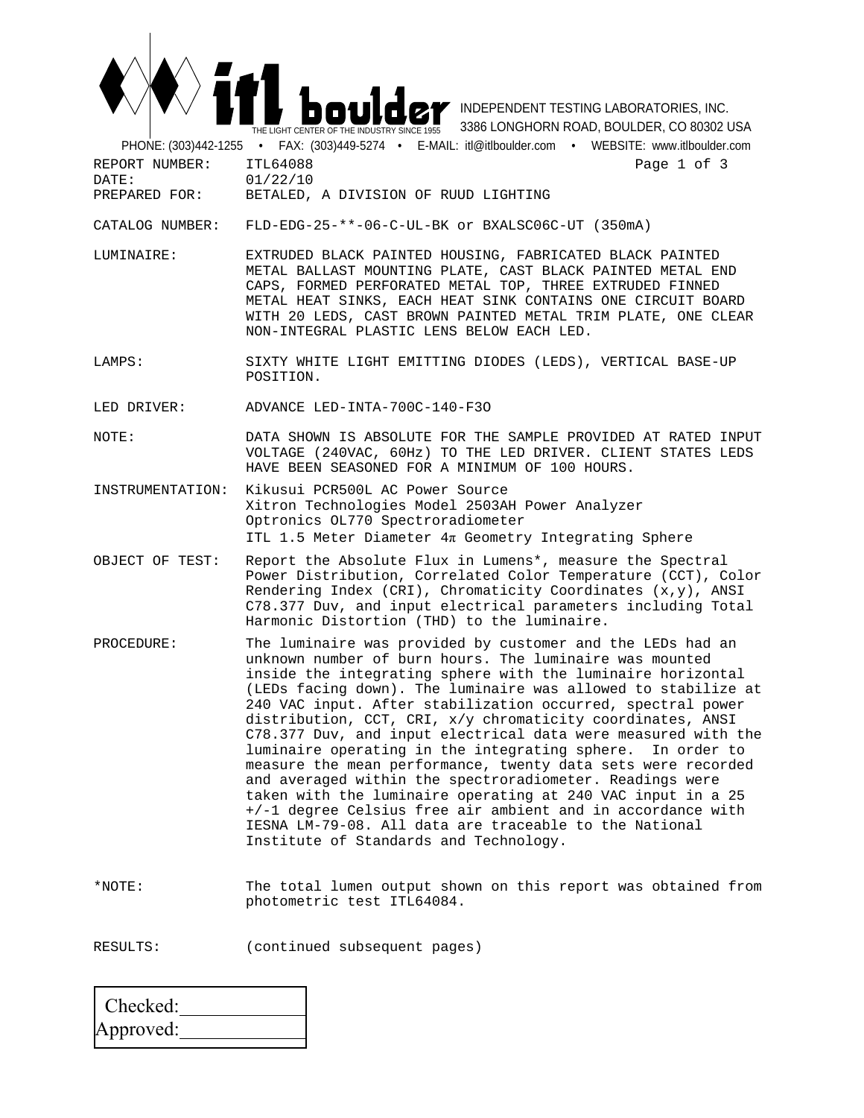

 INDEPENDENT TESTING LABORATORIES, INC. 3386 LONGHORN ROAD, BOULDER, CO 80302 USA

 PHONE: (303)442-1255 • FAX: (303)449-5274 • E-MAIL: itl@itlboulder.com • WEBSITE: www.itlboulder.com REPORT NUMBER: ITL64088<br>
DATE: 01/22/10<br>
DATE: 01/22/10 DATE: 01/22/10<br>PREPARED FOR: BETALED.

## BETALED, A DIVISION OF RUUD LIGHTING

CATALOG NUMBER: FLD-EDG-25-\*\*-06-C-UL-BK or BXALSC06C-UT (350mA)

LUMINAIRE: EXTRUDED BLACK PAINTED HOUSING, FABRICATED BLACK PAINTED METAL BALLAST MOUNTING PLATE, CAST BLACK PAINTED METAL END CAPS, FORMED PERFORATED METAL TOP, THREE EXTRUDED FINNED METAL HEAT SINKS, EACH HEAT SINK CONTAINS ONE CIRCUIT BOARD WITH 20 LEDS, CAST BROWN PAINTED METAL TRIM PLATE, ONE CLEAR NON-INTEGRAL PLASTIC LENS BELOW EACH LED.

LAMPS: SIXTY WHITE LIGHT EMITTING DIODES (LEDS), VERTICAL BASE-UP POSITION.

LED DRIVER: ADVANCE LED-INTA-700C-140-F3O

- NOTE: DATA SHOWN IS ABSOLUTE FOR THE SAMPLE PROVIDED AT RATED INPUT VOLTAGE (240VAC, 60Hz) TO THE LED DRIVER. CLIENT STATES LEDS HAVE BEEN SEASONED FOR A MINIMUM OF 100 HOURS.
- INSTRUMENTATION: Kikusui PCR500L AC Power Source Xitron Technologies Model 2503AH Power Analyzer Optronics OL770 Spectroradiometer ITL 1.5 Meter Diameter 4π Geometry Integrating Sphere
- OBJECT OF TEST: Report the Absolute Flux in Lumens\*, measure the Spectral Power Distribution, Correlated Color Temperature (CCT), Color Rendering Index (CRI), Chromaticity Coordinates  $(x,y)$ , ANSI C78.377 Duv, and input electrical parameters including Total Harmonic Distortion (THD) to the luminaire.
- PROCEDURE: The luminaire was provided by customer and the LEDs had an unknown number of burn hours. The luminaire was mounted inside the integrating sphere with the luminaire horizontal (LEDs facing down). The luminaire was allowed to stabilize at 240 VAC input. After stabilization occurred, spectral power distribution, CCT, CRI, x/y chromaticity coordinates, ANSI C78.377 Duv, and input electrical data were measured with the luminaire operating in the integrating sphere. In order to measure the mean performance, twenty data sets were recorded and averaged within the spectroradiometer. Readings were taken with the luminaire operating at 240 VAC input in a 25 +/-1 degree Celsius free air ambient and in accordance with IESNA LM-79-08. All data are traceable to the National Institute of Standards and Technology.
- \*NOTE: The total lumen output shown on this report was obtained from photometric test ITL64084.

RESULTS: (continued subsequent pages)

| Checked:  |  |
|-----------|--|
| Approved: |  |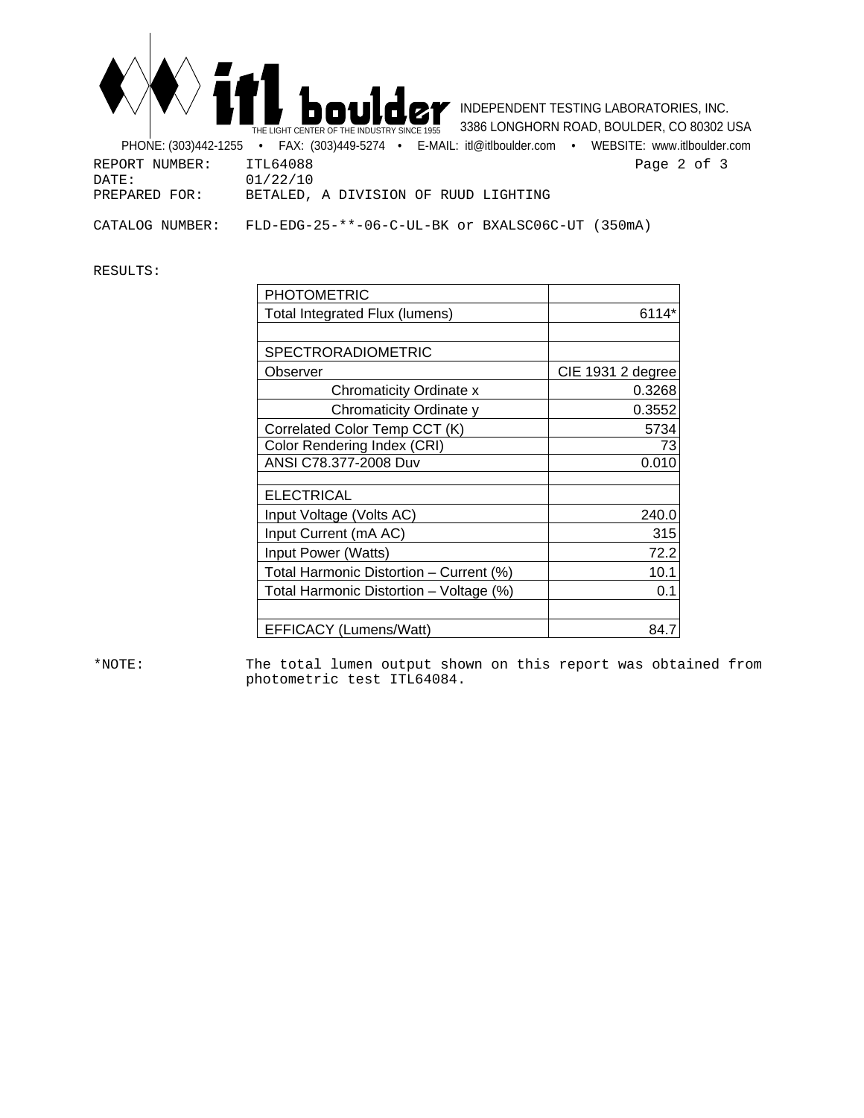

 INDEPENDENT TESTING LABORATORIES, INC. 3386 LONGHORN ROAD, BOULDER, CO 80302 USA

 PHONE: (303)442-1255 • FAX: (303)449-5274 • E-MAIL: itl@itlboulder.com • WEBSITE: www.itlboulder.com REPORT NUMBER: ITL64088<br>DATE: 01/22/10<br>
DATE: 01/22/10 DATE: 01/22/10<br>PREPARED FOR: BETALED, BETALED, A DIVISION OF RUUD LIGHTING CATALOG NUMBER: FLD-EDG-25-\*\*-06-C-UL-BK or BXALSC06C-UT (350mA)

RESULTS:

| <b>PHOTOMETRIC</b>                      |                   |
|-----------------------------------------|-------------------|
| Total Integrated Flux (lumens)          | 6114*             |
|                                         |                   |
| <b>SPECTRORADIOMETRIC</b>               |                   |
| Observer                                | CIE 1931 2 degree |
| <b>Chromaticity Ordinate x</b>          | 0.3268            |
| Chromaticity Ordinate y                 | 0.3552            |
| Correlated Color Temp CCT (K)           | 5734              |
| Color Rendering Index (CRI)             | 73                |
| ANSI C78.377-2008 Duv                   | 0.010             |
| <b>ELECTRICAL</b>                       |                   |
| Input Voltage (Volts AC)                | 240.0             |
| Input Current (mA AC)                   | 315               |
| Input Power (Watts)                     | 72.2              |
| Total Harmonic Distortion - Current (%) | 10.1              |
| Total Harmonic Distortion - Voltage (%) | 0.1               |
|                                         |                   |
| EFFICACY (Lumens/Watt)                  | 84.7              |

\*NOTE: The total lumen output shown on this report was obtained from photometric test ITL64084.